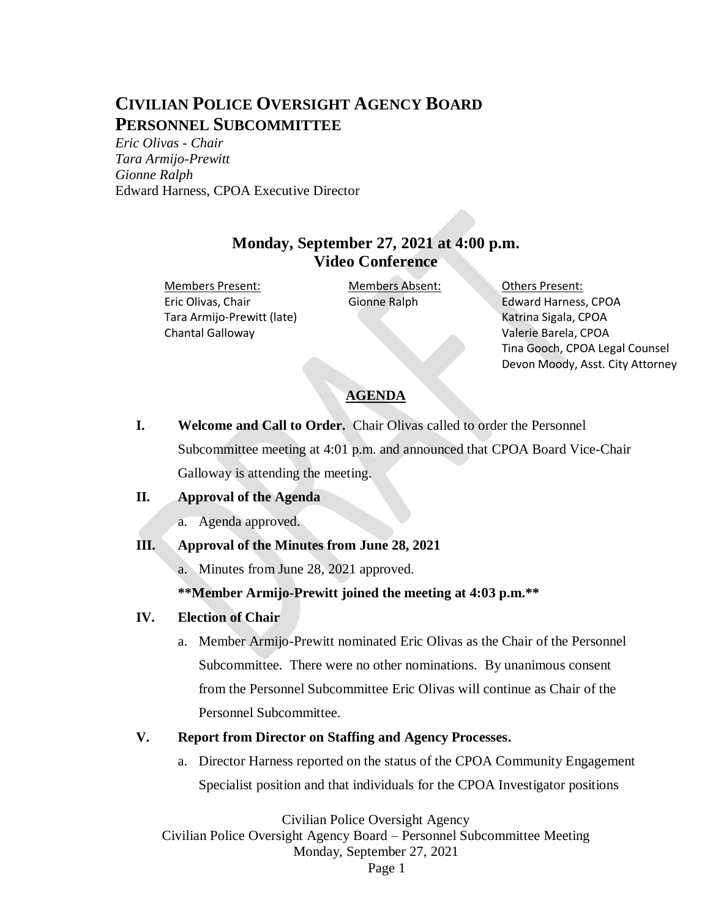# **CIVILIAN POLICE OVERSIGHT AGENCY BOARD PERSONNEL SUBCOMMITTEE**

*Eric Olivas - Chair Tara Armijo-Prewitt Gionne Ralph* Edward Harness, CPOA Executive Director

# **Monday, September 27, 2021 at 4:00 p.m. Video Conference**

Members Present: Members Absent: Others Present: Eric Olivas, Chair Tara Armijo-Prewitt (late) Chantal Galloway

Gionne Ralph Edward Harness, CPOA Katrina Sigala, CPOA Valerie Barela, CPOA Tina Gooch, CPOA Legal Counsel Devon Moody, Asst. City Attorney

# **AGENDA**

**I. Welcome and Call to Order.** Chair Olivas called to order the Personnel Subcommittee meeting at 4:01 p.m. and announced that CPOA Board Vice-Chair Galloway is attending the meeting.

#### **II. Approval of the Agenda**

a. Agenda approved.

#### **III. Approval of the Minutes from June 28, 2021**

a. Minutes from June 28, 2021 approved.

#### **\*\*Member Armijo-Prewitt joined the meeting at 4:03 p.m.\*\***

#### **IV. Election of Chair**

a. Member Armijo-Prewitt nominated Eric Olivas as the Chair of the Personnel Subcommittee. There were no other nominations. By unanimous consent from the Personnel Subcommittee Eric Olivas will continue as Chair of the Personnel Subcommittee.

#### **V. Report from Director on Staffing and Agency Processes.**

a. Director Harness reported on the status of the CPOA Community Engagement Specialist position and that individuals for the CPOA Investigator positions

Civilian Police Oversight Agency

Civilian Police Oversight Agency Board – Personnel Subcommittee Meeting Monday, September 27, 2021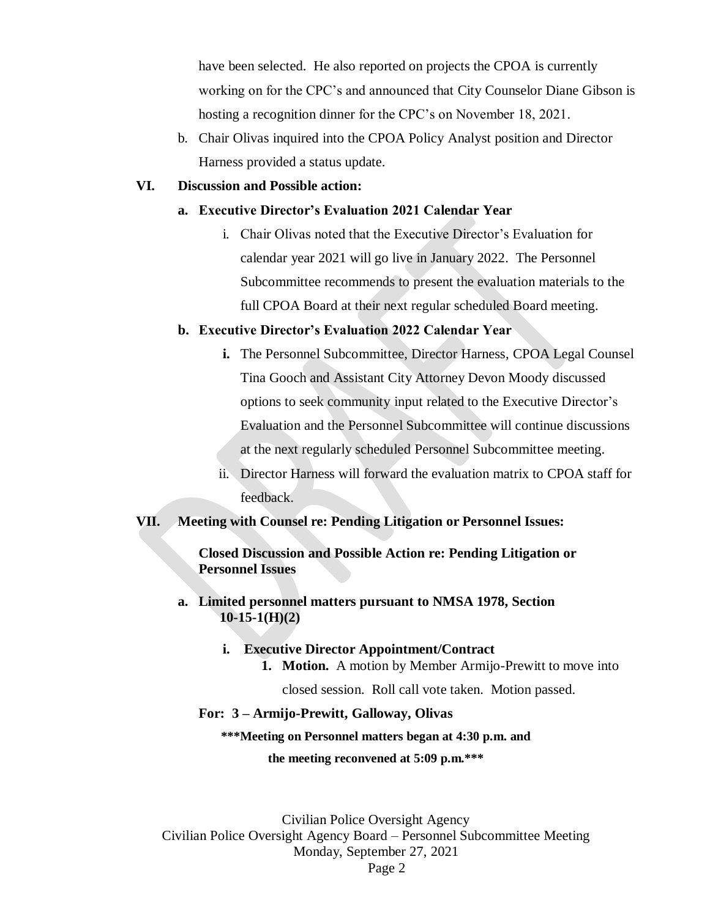have been selected. He also reported on projects the CPOA is currently working on for the CPC's and announced that City Counselor Diane Gibson is hosting a recognition dinner for the CPC's on November 18, 2021.

b. Chair Olivas inquired into the CPOA Policy Analyst position and Director Harness provided a status update.

#### **VI. Discussion and Possible action:**

#### **a. Executive Director's Evaluation 2021 Calendar Year**

i. Chair Olivas noted that the Executive Director's Evaluation for calendar year 2021 will go live in January 2022. The Personnel Subcommittee recommends to present the evaluation materials to the full CPOA Board at their next regular scheduled Board meeting.

#### **b. Executive Director's Evaluation 2022 Calendar Year**

- **i.** The Personnel Subcommittee, Director Harness, CPOA Legal Counsel Tina Gooch and Assistant City Attorney Devon Moody discussed options to seek community input related to the Executive Director's Evaluation and the Personnel Subcommittee will continue discussions at the next regularly scheduled Personnel Subcommittee meeting.
- ii. Director Harness will forward the evaluation matrix to CPOA staff for feedback.

#### **VII. Meeting with Counsel re: Pending Litigation or Personnel Issues:**

**Closed Discussion and Possible Action re: Pending Litigation or Personnel Issues** 

**a. Limited personnel matters pursuant to NMSA 1978, Section 10-15-1(H)(2)** 

# **i. Executive Director Appointment/Contract 1. Motion.** A motion by Member Armijo-Prewitt to move into

closed session. Roll call vote taken. Motion passed.

#### **For: 3 – Armijo-Prewitt, Galloway, Olivas**

#### **\*\*\*Meeting on Personnel matters began at 4:30 p.m. and**

**the meeting reconvened at 5:09 p.m.\*\*\***

Civilian Police Oversight Agency Civilian Police Oversight Agency Board – Personnel Subcommittee Meeting Monday, September 27, 2021